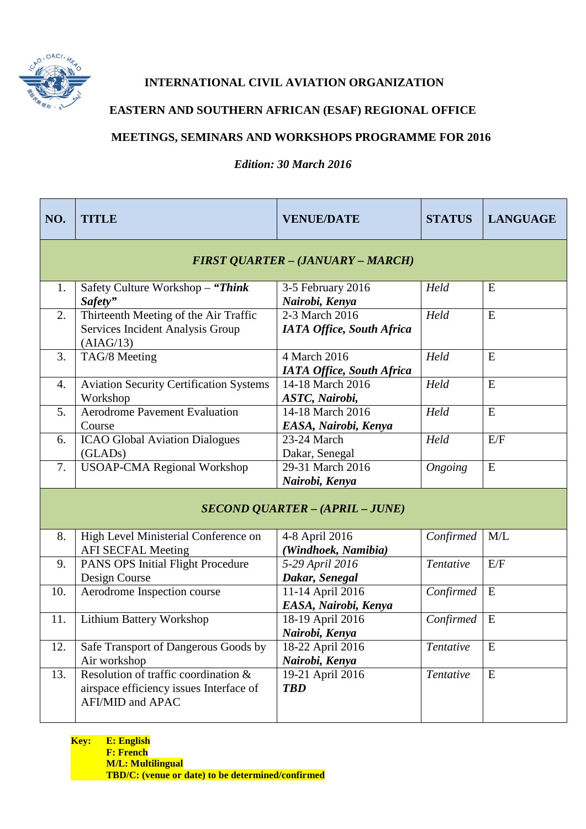

**INTERNATIONAL CIVIL AVIATION ORGANIZATION**

## **EASTERN AND SOUTHERN AFRICAN (ESAF) REGIONAL OFFICE**

## **MEETINGS, SEMINARS AND WORKSHOPS PROGRAMME FOR 2016**

## *Edition: 30 March 2016*

| NO.                                    | <b>TITLE</b>                                                                                        | <b>VENUE/DATE</b>                                | <b>STATUS</b> | <b>LANGUAGE</b> |  |
|----------------------------------------|-----------------------------------------------------------------------------------------------------|--------------------------------------------------|---------------|-----------------|--|
|                                        | <b>FIRST QUARTER - (JANUARY - MARCH)</b>                                                            |                                                  |               |                 |  |
| 1.                                     | Safety Culture Workshop - "Think"<br>Safety"                                                        | 3-5 February 2016<br>Nairobi, Kenya              | Held          | E               |  |
| 2.                                     | Thirteenth Meeting of the Air Traffic<br>Services Incident Analysis Group<br>(AIAG/13)              | 2-3 March 2016<br>IATA Office, South Africa      | Held          | ${\bf E}$       |  |
| 3.                                     | TAG/8 Meeting                                                                                       | 4 March 2016<br><b>IATA Office, South Africa</b> | Held          | ${\bf E}$       |  |
| 4.                                     | <b>Aviation Security Certification Systems</b><br>Workshop                                          | 14-18 March 2016<br>ASTC, Nairobi,               | Held          | E               |  |
| 5.                                     | <b>Aerodrome Pavement Evaluation</b><br>Course                                                      | 14-18 March 2016<br>EASA, Nairobi, Kenya         | Held          | E               |  |
| 6.                                     | <b>ICAO Global Aviation Dialogues</b><br>(GLADs)                                                    | 23-24 March<br>Dakar, Senegal                    | Held          | E/F             |  |
| 7.                                     | <b>USOAP-CMA Regional Workshop</b>                                                                  | 29-31 March 2016<br>Nairobi, Kenya               | Ongoing       | E               |  |
| <b>SECOND QUARTER - (APRIL - JUNE)</b> |                                                                                                     |                                                  |               |                 |  |
| 8.                                     | High Level Ministerial Conference on<br><b>AFI SECFAL Meeting</b>                                   | 4-8 April 2016<br>(Windhoek, Namibia)            | Confirmed     | M/L             |  |
| 9.                                     | PANS OPS Initial Flight Procedure<br>Design Course                                                  | 5-29 April 2016<br>Dakar, Senegal                | Tentative     | E/F             |  |
| 10.                                    | Aerodrome Inspection course                                                                         | 11-14 April 2016<br>EASA, Nairobi, Kenya         | Confirmed     | E               |  |
| 11.                                    | <b>Lithium Battery Workshop</b>                                                                     | 18-19 April 2016<br>Nairobi, Kenya               | Confirmed     | E               |  |
| 12.                                    | Safe Transport of Dangerous Goods by<br>Air workshop                                                | 18-22 April 2016<br>Nairobi, Kenya               | Tentative     | E               |  |
| 13.                                    | Resolution of traffic coordination &<br>airspace efficiency issues Interface of<br>AFI/MID and APAC | 19-21 April 2016<br><b>TBD</b>                   | Tentative     | ${\bf E}$       |  |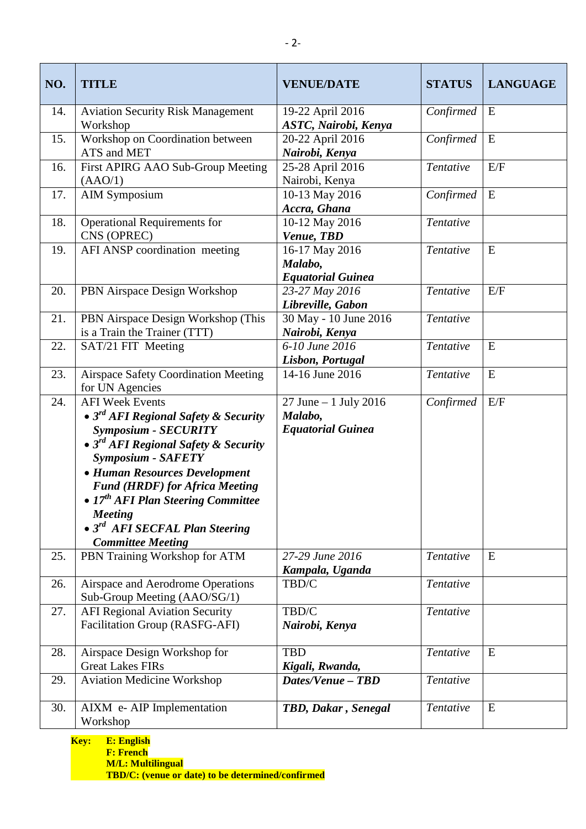| NO. | <b>TITLE</b>                                                                                                                                                                                                                                                                                                                                                                                         | <b>VENUE/DATE</b>                                             | <b>STATUS</b> | <b>LANGUAGE</b> |
|-----|------------------------------------------------------------------------------------------------------------------------------------------------------------------------------------------------------------------------------------------------------------------------------------------------------------------------------------------------------------------------------------------------------|---------------------------------------------------------------|---------------|-----------------|
| 14. | <b>Aviation Security Risk Management</b><br>Workshop                                                                                                                                                                                                                                                                                                                                                 | 19-22 April 2016<br>ASTC, Nairobi, Kenya                      | Confirmed     | E               |
| 15. | Workshop on Coordination between<br>ATS and MET                                                                                                                                                                                                                                                                                                                                                      | 20-22 April 2016<br>Nairobi, Kenya                            | Confirmed     | E               |
| 16. | First APIRG AAO Sub-Group Meeting<br>(AAO/1)                                                                                                                                                                                                                                                                                                                                                         | 25-28 April 2016<br>Nairobi, Kenya                            | Tentative     | E/F             |
| 17. | <b>AIM Symposium</b>                                                                                                                                                                                                                                                                                                                                                                                 | 10-13 May 2016<br>Accra, Ghana                                | Confirmed     | E               |
| 18. | <b>Operational Requirements for</b><br>CNS (OPREC)                                                                                                                                                                                                                                                                                                                                                   | 10-12 May 2016<br>Venue, TBD                                  | Tentative     |                 |
| 19. | AFI ANSP coordination meeting                                                                                                                                                                                                                                                                                                                                                                        | 16-17 May 2016<br>Malabo,<br><b>Equatorial Guinea</b>         | Tentative     | E               |
| 20. | PBN Airspace Design Workshop                                                                                                                                                                                                                                                                                                                                                                         | 23-27 May 2016<br>Libreville, Gabon                           | Tentative     | E/F             |
| 21. | PBN Airspace Design Workshop (This<br>is a Train the Trainer (TTT)                                                                                                                                                                                                                                                                                                                                   | 30 May - 10 June 2016<br>Nairobi, Kenya                       | Tentative     |                 |
| 22. | SAT/21 FIT Meeting                                                                                                                                                                                                                                                                                                                                                                                   | 6-10 June 2016<br>Lisbon, Portugal                            | Tentative     | E               |
| 23. | <b>Airspace Safety Coordination Meeting</b><br>for UN Agencies                                                                                                                                                                                                                                                                                                                                       | 14-16 June 2016                                               | Tentative     | ${\bf E}$       |
| 24. | <b>AFI Week Events</b><br>• $3^{rd}$ AFI Regional Safety & Security<br><b>Symposium - SECURITY</b><br>• $3^{rd}$ AFI Regional Safety & Security<br><b>Symposium - SAFETY</b><br>• Human Resources Development<br><b>Fund (HRDF) for Africa Meeting</b><br>• 17 <sup>th</sup> AFI Plan Steering Committee<br><b>Meeting</b><br>• 3 <sup>rd</sup> AFI SECFAL Plan Steering<br><b>Committee Meeting</b> | 27 June $-1$ July 2016<br>Malabo,<br><b>Equatorial Guinea</b> | Confirmed     | E/F             |
| 25. | PBN Training Workshop for ATM                                                                                                                                                                                                                                                                                                                                                                        | 27-29 June 2016<br>Kampala, Uganda                            | Tentative     | E               |
| 26. | Airspace and Aerodrome Operations<br>Sub-Group Meeting (AAO/SG/1)                                                                                                                                                                                                                                                                                                                                    | TBD/C                                                         | Tentative     |                 |
| 27. | <b>AFI Regional Aviation Security</b><br>Facilitation Group (RASFG-AFI)                                                                                                                                                                                                                                                                                                                              | TBD/C<br>Nairobi, Kenya                                       | Tentative     |                 |
| 28. | Airspace Design Workshop for<br><b>Great Lakes FIRs</b>                                                                                                                                                                                                                                                                                                                                              | <b>TBD</b><br>Kigali, Rwanda,                                 | Tentative     | E               |
| 29. | <b>Aviation Medicine Workshop</b>                                                                                                                                                                                                                                                                                                                                                                    | Dates/Venue - TBD                                             | Tentative     |                 |
| 30. | AIXM e- AIP Implementation<br>Workshop                                                                                                                                                                                                                                                                                                                                                               | TBD, Dakar, Senegal                                           | Tentative     | E               |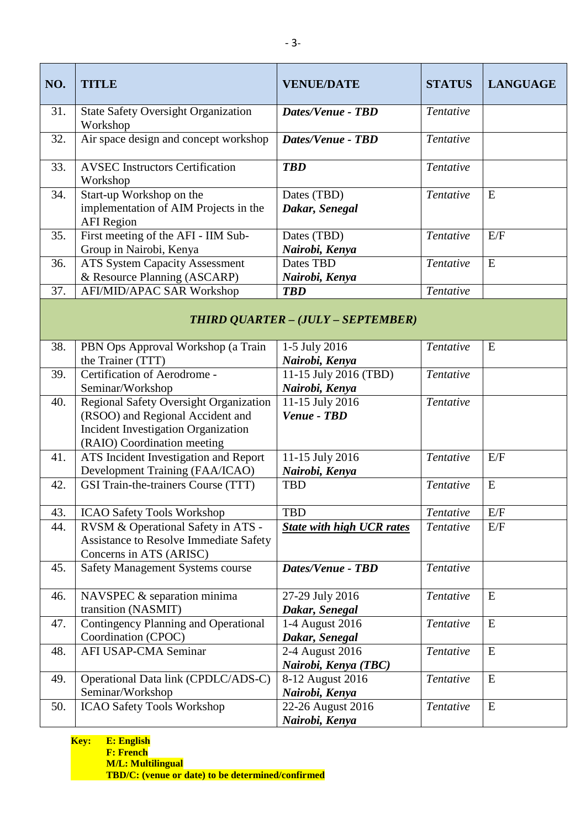| NO.                                | <b>TITLE</b>                                                                                                                                            | <b>VENUE/DATE</b>                       | <b>STATUS</b> | <b>LANGUAGE</b> |  |
|------------------------------------|---------------------------------------------------------------------------------------------------------------------------------------------------------|-----------------------------------------|---------------|-----------------|--|
| 31.                                | <b>State Safety Oversight Organization</b><br>Workshop                                                                                                  | <b>Dates/Venue - TBD</b>                | Tentative     |                 |  |
| 32.                                | Air space design and concept workshop                                                                                                                   | Dates/Venue - TBD                       | Tentative     |                 |  |
| 33.                                | <b>AVSEC Instructors Certification</b><br>Workshop                                                                                                      | <b>TBD</b>                              | Tentative     |                 |  |
| 34.                                | Start-up Workshop on the<br>implementation of AIM Projects in the<br><b>AFI</b> Region                                                                  | Dates (TBD)<br>Dakar, Senegal           | Tentative     | E               |  |
| 35.                                | First meeting of the AFI - IIM Sub-<br>Group in Nairobi, Kenya                                                                                          | Dates (TBD)<br>Nairobi, Kenya           | Tentative     | E/F             |  |
| 36.                                | <b>ATS System Capacity Assessment</b><br>& Resource Planning (ASCARP)                                                                                   | Dates TBD<br>Nairobi, Kenya             | Tentative     | ${\bf E}$       |  |
| 37.                                | AFI/MID/APAC SAR Workshop                                                                                                                               | <b>TBD</b>                              | Tentative     |                 |  |
| THIRD QUARTER - (JULY - SEPTEMBER) |                                                                                                                                                         |                                         |               |                 |  |
| 38.                                | PBN Ops Approval Workshop (a Train<br>the Trainer (TTT)                                                                                                 | 1-5 July 2016<br>Nairobi, Kenya         | Tentative     | E               |  |
| 39.                                | Certification of Aerodrome -<br>Seminar/Workshop                                                                                                        | 11-15 July 2016 (TBD)<br>Nairobi, Kenya | Tentative     |                 |  |
| 40.                                | Regional Safety Oversight Organization<br>(RSOO) and Regional Accident and<br><b>Incident Investigation Organization</b><br>(RAIO) Coordination meeting | 11-15 July 2016<br>Venue - TBD          | Tentative     |                 |  |
| 41.                                | ATS Incident Investigation and Report<br>Development Training (FAA/ICAO)                                                                                | 11-15 July 2016<br>Nairobi, Kenya       | Tentative     | E/F             |  |
| 42.                                | GSI Train-the-trainers Course (TTT)                                                                                                                     | <b>TBD</b>                              | Tentative     | E               |  |
| 43.                                | <b>ICAO Safety Tools Workshop</b>                                                                                                                       | <b>TBD</b>                              | Tentative     | E/F             |  |
| 44.                                | RVSM & Operational Safety in ATS -<br>Assistance to Resolve Immediate Safety<br>Concerns in ATS (ARISC)                                                 | <b>State with high UCR rates</b>        | Tentative     | E/F             |  |
| 45.                                | <b>Safety Management Systems course</b>                                                                                                                 | Dates/Venue - TBD                       | Tentative     |                 |  |
| 46.                                | NAVSPEC & separation minima<br>transition (NASMIT)                                                                                                      | 27-29 July 2016<br>Dakar, Senegal       | Tentative     | E               |  |
| 47.                                | <b>Contingency Planning and Operational</b><br>Coordination (CPOC)                                                                                      | 1-4 August 2016<br>Dakar, Senegal       | Tentative     | E               |  |
| 48.                                | AFI USAP-CMA Seminar                                                                                                                                    | 2-4 August 2016<br>Nairobi, Kenya (TBC) | Tentative     | E               |  |
| 49.                                | Operational Data link (CPDLC/ADS-C)<br>Seminar/Workshop                                                                                                 | 8-12 August 2016<br>Nairobi, Kenya      | Tentative     | E               |  |
| 50.                                | ICAO Safety Tools Workshop                                                                                                                              | 22-26 August 2016<br>Nairobi, Kenya     | Tentative     | E               |  |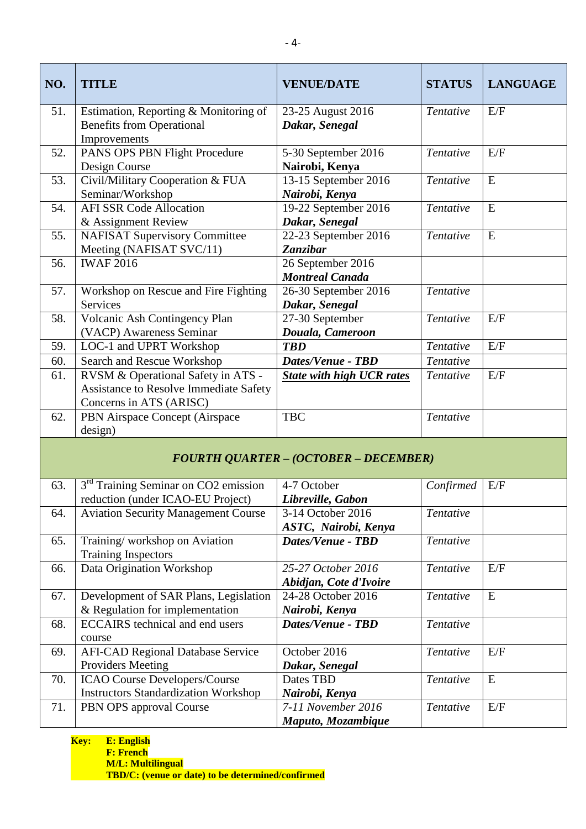| NO.                                          | <b>TITLE</b>                                                | <b>VENUE/DATE</b>                      | <b>STATUS</b> | <b>LANGUAGE</b> |  |
|----------------------------------------------|-------------------------------------------------------------|----------------------------------------|---------------|-----------------|--|
| 51.                                          | Estimation, Reporting & Monitoring of                       | 23-25 August 2016                      | Tentative     | E/F             |  |
|                                              | <b>Benefits from Operational</b>                            | Dakar, Senegal                         |               |                 |  |
|                                              | Improvements                                                |                                        |               |                 |  |
| 52.                                          | PANS OPS PBN Flight Procedure                               | 5-30 September 2016                    | Tentative     | E/F             |  |
|                                              | Design Course                                               | Nairobi, Kenya                         |               |                 |  |
| 53.                                          | Civil/Military Cooperation & FUA                            | 13-15 September 2016                   | Tentative     | ${\bf E}$       |  |
|                                              | Seminar/Workshop<br><b>AFI SSR Code Allocation</b>          | Nairobi, Kenya<br>19-22 September 2016 |               | ${\bf E}$       |  |
| 54.                                          | & Assignment Review                                         |                                        | Tentative     |                 |  |
| 55.                                          | <b>NAFISAT Supervisory Committee</b>                        | Dakar, Senegal<br>22-23 September 2016 | Tentative     | E               |  |
|                                              | Meeting (NAFISAT SVC/11)                                    | <b>Zanzibar</b>                        |               |                 |  |
| 56.                                          | <b>IWAF 2016</b>                                            | 26 September 2016                      |               |                 |  |
|                                              |                                                             | <b>Montreal Canada</b>                 |               |                 |  |
| 57.                                          | Workshop on Rescue and Fire Fighting                        | 26-30 September $2016$                 | Tentative     |                 |  |
|                                              | Services                                                    | Dakar, Senegal                         |               |                 |  |
| 58.                                          | Volcanic Ash Contingency Plan                               | 27-30 September                        | Tentative     | E/F             |  |
|                                              | (VACP) Awareness Seminar                                    | Douala, Cameroon                       |               |                 |  |
| 59.                                          | LOC-1 and UPRT Workshop                                     | <b>TBD</b>                             | Tentative     | E/F             |  |
| 60.                                          | Search and Rescue Workshop                                  | <b>Dates/Venue - TBD</b>               | Tentative     |                 |  |
| 61.                                          | RVSM & Operational Safety in ATS -                          | <b>State with high UCR rates</b>       | Tentative     | E/F             |  |
|                                              | Assistance to Resolve Immediate Safety                      |                                        |               |                 |  |
|                                              | Concerns in ATS (ARISC)                                     |                                        |               |                 |  |
| 62.                                          | PBN Airspace Concept (Airspace                              | <b>TBC</b>                             | Tentative     |                 |  |
|                                              | design)                                                     |                                        |               |                 |  |
| <b>FOURTH QUARTER - (OCTOBER - DECEMBER)</b> |                                                             |                                        |               |                 |  |
| 63.                                          | 3 <sup>rd</sup> Training Seminar on CO2 emission            | 4-7 October                            | Confirmed     | E/F             |  |
|                                              | reduction (under ICAO-EU Project)                           | Libreville, Gabon                      |               |                 |  |
| 64.                                          | <b>Aviation Security Management Course</b>                  | 3-14 October 2016                      | Tentative     |                 |  |
|                                              |                                                             | ASTC, Nairobi, Kenya                   |               |                 |  |
| 65.                                          | Training/workshop on Aviation<br><b>Training Inspectors</b> | <b>Dates/Venue - TBD</b>               | Tentative     |                 |  |
| 66.                                          | Data Origination Workshop                                   | 25-27 October 2016                     | Tentative     | E/F             |  |
|                                              |                                                             | Abidjan, Cote d'Ivoire                 |               |                 |  |
| 67.                                          | Development of SAR Plans, Legislation                       | 24-28 October 2016                     | Tentative     | E               |  |

*Nairobi, Kenya*

October 2016 *Dakar, Senegal*

*Nairobi, Kenya*

*Maputo, Mozambique*

Dates TBD

*Dates/Venue - TBD Tentative*

*Tentative* E/F

*Tentative* E

*Tentative* E/F

& Regulation for implementation

69. AFI-CAD Regional Database Service

Instructors Standardization Workshop

68. ECCAIRS technical and end users

70. ICAO Course Developers/Course

Providers Meeting

71. **PBN OPS approval Course** 

course